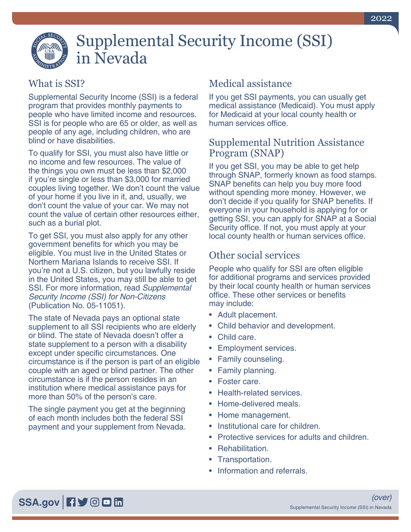# Supplemental Security Income (SSI) in Nevada

## What is SSI?

Supplemental Security Income (SSI) is a federal program that provides monthly payments to people who have limited income and resources. SSI is for people who are 65 or older, as well as people of any age, including children, who are blind or have disabilities.

To qualify for SSI, you must also have little or no income and few resources. The value of the things you own must be less than \$2,000 if you're single or less than \$3,000 for married couples living together. We don't count the value of your home if you live in it, and, usually, we don't count the value of your car. We may not count the value of certain other resources either, such as a burial plot.

To get SSI, you must also apply for any other government benefits for which you may be eligible. You must live in the United States or Northern Mariana Islands to receive SSI. If you're not a U.S. citizen, but you lawfully reside in the United States, you may still be able to get SSI. For more information, read *[Supplemental](https://www.ssa.gov/pubs/EN-05-11051.pdf)  [Security Income \(SSI\) for Non-Citizens](https://www.ssa.gov/pubs/EN-05-11051.pdf)* [\(Publication No. 05-11051\).](https://www.ssa.gov/pubs/EN-05-11051.pdf)

The state of Nevada pays an optional state supplement to all SSI recipients who are elderly or blind. The state of Nevada doesn't offer a state supplement to a person with a disability except under specific circumstances. One circumstance is if the person is part of an eligible couple with an aged or blind partner. The other circumstance is if the person resides in an institution where medical assistance pays for more than 50% of the person's care.

The single payment you get at the beginning of each month includes both the federal SSI payment and your supplement from Nevada.

# Medical assistance

If you get SSI payments, you can usually get medical assistance (Medicaid). You must apply for Medicaid at your local county health or human services office.

#### Supplemental Nutrition Assistance Program (SNAP)

If you get SSI, you may be able to get help through SNAP, formerly known as food stamps. SNAP benefits can help you buy more food without spending more money. However, we don't decide if you qualify for SNAP benefits. If everyone in your household is applying for or getting SSI, you can apply for SNAP at a Social Security office. If not, you must apply at your local county health or human services office.

## Other social services

People who qualify for SSI are often eligible for additional programs and services provided by their local county health or human services office. These other services or benefits may include:

- Adult placement.
- Child behavior and development.
- Child care.
- Employment services.
- Family counseling.
- Family planning.
- Foster care.
- Health-related services.
- Home-delivered meals.
- Home management.
- Institutional care for children.
- Protective services for adults and children.
- Rehabilitation.
- Transportation.
- Information and referrals.